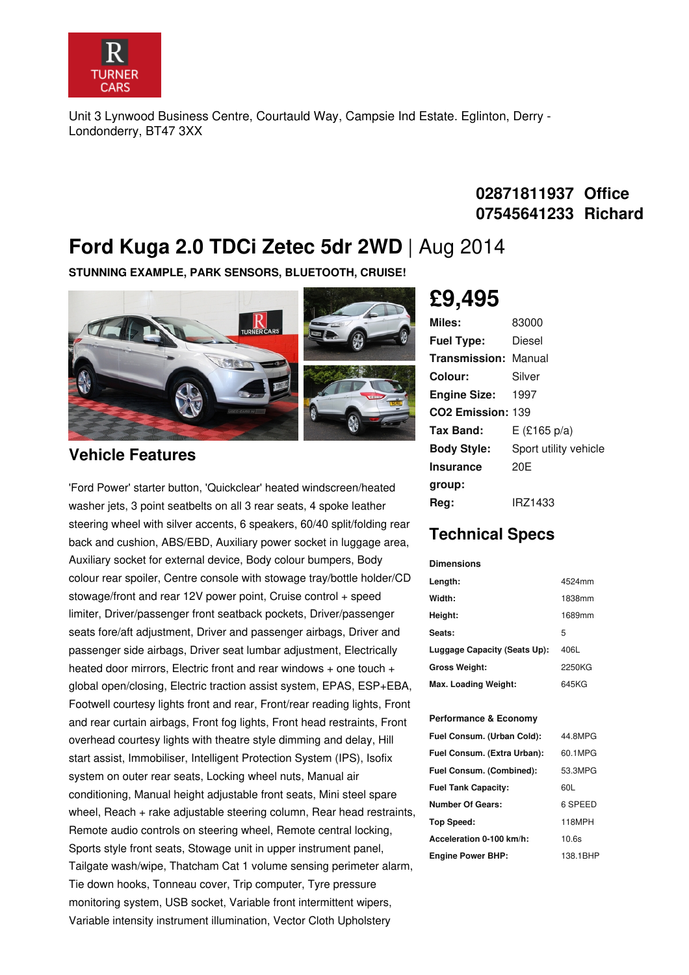

Unit 3 Lynwood Business Centre, Courtauld Way, Campsie Ind Estate. Eglinton, Derry - Londonderry, BT47 3XX

### **02871811937 Office 07545641233 Richard**

## **Ford Kuga 2.0 TDCi Zetec 5dr 2WD** | Aug 2014

**STUNNING EXAMPLE, PARK SENSORS, BLUETOOTH, CRUISE!**



#### **Vehicle Features**

'Ford Power' starter button, 'Quickclear' heated windscreen/heated washer jets, 3 point seatbelts on all 3 rear seats, 4 spoke leather steering wheel with silver accents, 6 speakers, 60/40 split/folding rear back and cushion, ABS/EBD, Auxiliary power socket in luggage area, Auxiliary socket for external device, Body colour bumpers, Body colour rear spoiler, Centre console with stowage tray/bottle holder/CD stowage/front and rear 12V power point, Cruise control + speed limiter, Driver/passenger front seatback pockets, Driver/passenger seats fore/aft adjustment, Driver and passenger airbags, Driver and passenger side airbags, Driver seat lumbar adjustment, Electrically heated door mirrors, Electric front and rear windows + one touch + global open/closing, Electric traction assist system, EPAS, ESP+EBA, Footwell courtesy lights front and rear, Front/rear reading lights, Front and rear curtain airbags, Front fog lights, Front head restraints, Front overhead courtesy lights with theatre style dimming and delay, Hill start assist, Immobiliser, Intelligent Protection System (IPS), Isofix system on outer rear seats, Locking wheel nuts, Manual air conditioning, Manual height adjustable front seats, Mini steel spare wheel, Reach + rake adjustable steering column, Rear head restraints, Remote audio controls on steering wheel, Remote central locking, Sports style front seats, Stowage unit in upper instrument panel, Tailgate wash/wipe, Thatcham Cat 1 volume sensing perimeter alarm, Tie down hooks, Tonneau cover, Trip computer, Tyre pressure monitoring system, USB socket, Variable front intermittent wipers, Variable intensity instrument illumination, Vector Cloth Upholstery

# **£9,495**

| Miles:                        | 83000                 |
|-------------------------------|-----------------------|
| <b>Fuel Type:</b>             | Diesel                |
| <b>Transmission: Manual</b>   |                       |
| Colour:                       | Silver                |
| Engine Size: 1997             |                       |
| CO <sub>2</sub> Emission: 139 |                       |
| <b>Tax Band:</b>              | $E$ (£165 p/a)        |
| <b>Body Style:</b>            | Sport utility vehicle |
| <b>Insurance</b>              | 20E                   |
| group:                        |                       |
| Reg:                          | IRZ1433               |

## **Technical Specs**

| <b>Dimensions</b>            |        |
|------------------------------|--------|
| Length:                      | 4524mm |
| Width:                       | 1838mm |
| Height:                      | 1689mm |
| Seats:                       | 5      |
| Luggage Capacity (Seats Up): | 406L   |
| <b>Gross Weight:</b>         | 2250KG |
| Max. Loading Weight:         | 645KG  |

#### **Performance & Economy**

| Fuel Consum. (Urban Cold):  | 44.8MPG  |
|-----------------------------|----------|
| Fuel Consum. (Extra Urban): | 60.1MPG  |
| Fuel Consum. (Combined):    | 53.3MPG  |
| <b>Fuel Tank Capacity:</b>  | 60L      |
| Number Of Gears:            | 6 SPEED  |
| Top Speed:                  | 118MPH   |
| Acceleration 0-100 km/h:    | 10.6s    |
| <b>Engine Power BHP:</b>    | 138.1BHP |